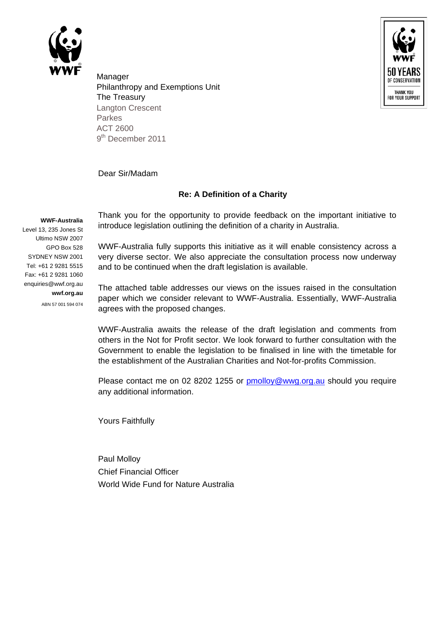



Manager Philanthropy and Exemptions Unit The Treasury Langton Crescent Parkes ACT 2600 9<sup>th</sup> December 2011

Dear Sir/Madam

## **Re: A Definition of a Charity**

## **WWF-Australia**

Level 13, 235 Jones St Ultimo NSW 2007 GPO Box 528 SYDNEY NSW 2001 Tel: +61 2 9281 5515 Fax: +61 2 9281 1060 enquiries@wwf.org.au **wwf.org.au**

ABN 57 001 594 074

Thank you for the opportunity to provide feedback on the important initiative to introduce legislation outlining the definition of a charity in Australia.

WWF-Australia fully supports this initiative as it will enable consistency across a very diverse sector. We also appreciate the consultation process now underway and to be continued when the draft legislation is available.

The attached table addresses our views on the issues raised in the consultation paper which we consider relevant to WWF-Australia. Essentially, WWF-Australia agrees with the proposed changes.

WWF-Australia awaits the release of the draft legislation and comments from others in the Not for Profit sector. We look forward to further consultation with the Government to enable the legislation to be finalised in line with the timetable for the establishment of the Australian Charities and Not-for-profits Commission.

Please contact me on 02 8202 1255 or [pmolloy@wwg.org.au](mailto:pmolloy@wwg.org.au) should you require any additional information.

Yours Faithfully

Paul Molloy Chief Financial Officer World Wide Fund for Nature Australia